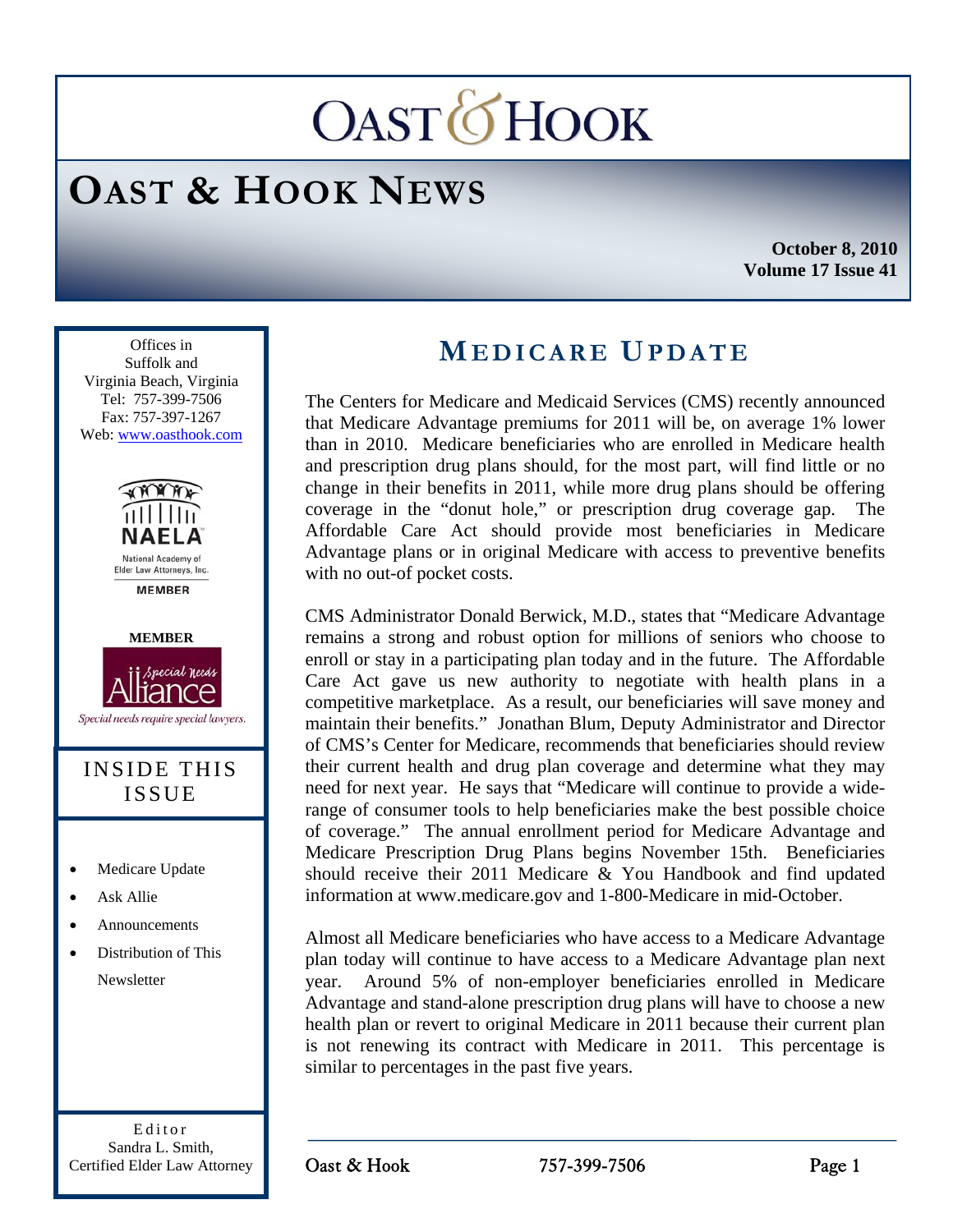# **OASTOHOOK**

## **OAST & HOOK NEWS**

**October 8, 2010 Volume 17 Issue 41** 



Editor Sandra L. Smith, Certified Elder Law Attorney

### **MEDICARE UPDATE**

The Centers for Medicare and Medicaid Services (CMS) recently announced that Medicare Advantage premiums for 2011 will be, on average 1% lower than in 2010. Medicare beneficiaries who are enrolled in Medicare health and prescription drug plans should, for the most part, will find little or no change in their benefits in 2011, while more drug plans should be offering coverage in the "donut hole," or prescription drug coverage gap. The Affordable Care Act should provide most beneficiaries in Medicare Advantage plans or in original Medicare with access to preventive benefits with no out-of pocket costs.

CMS Administrator Donald Berwick, M.D., states that "Medicare Advantage remains a strong and robust option for millions of seniors who choose to enroll or stay in a participating plan today and in the future. The Affordable Care Act gave us new authority to negotiate with health plans in a competitive marketplace. As a result, our beneficiaries will save money and maintain their benefits." Jonathan Blum, Deputy Administrator and Director of CMS's Center for Medicare, recommends that beneficiaries should review their current health and drug plan coverage and determine what they may need for next year. He says that "Medicare will continue to provide a widerange of consumer tools to help beneficiaries make the best possible choice of coverage." The annual enrollment period for Medicare Advantage and Medicare Prescription Drug Plans begins November 15th. Beneficiaries should receive their 2011 Medicare & You Handbook and find updated information at www.medicare.gov and 1-800-Medicare in mid-October.

Almost all Medicare beneficiaries who have access to a Medicare Advantage plan today will continue to have access to a Medicare Advantage plan next year. Around 5% of non-employer beneficiaries enrolled in Medicare Advantage and stand-alone prescription drug plans will have to choose a new health plan or revert to original Medicare in 2011 because their current plan is not renewing its contract with Medicare in 2011. This percentage is similar to percentages in the past five years.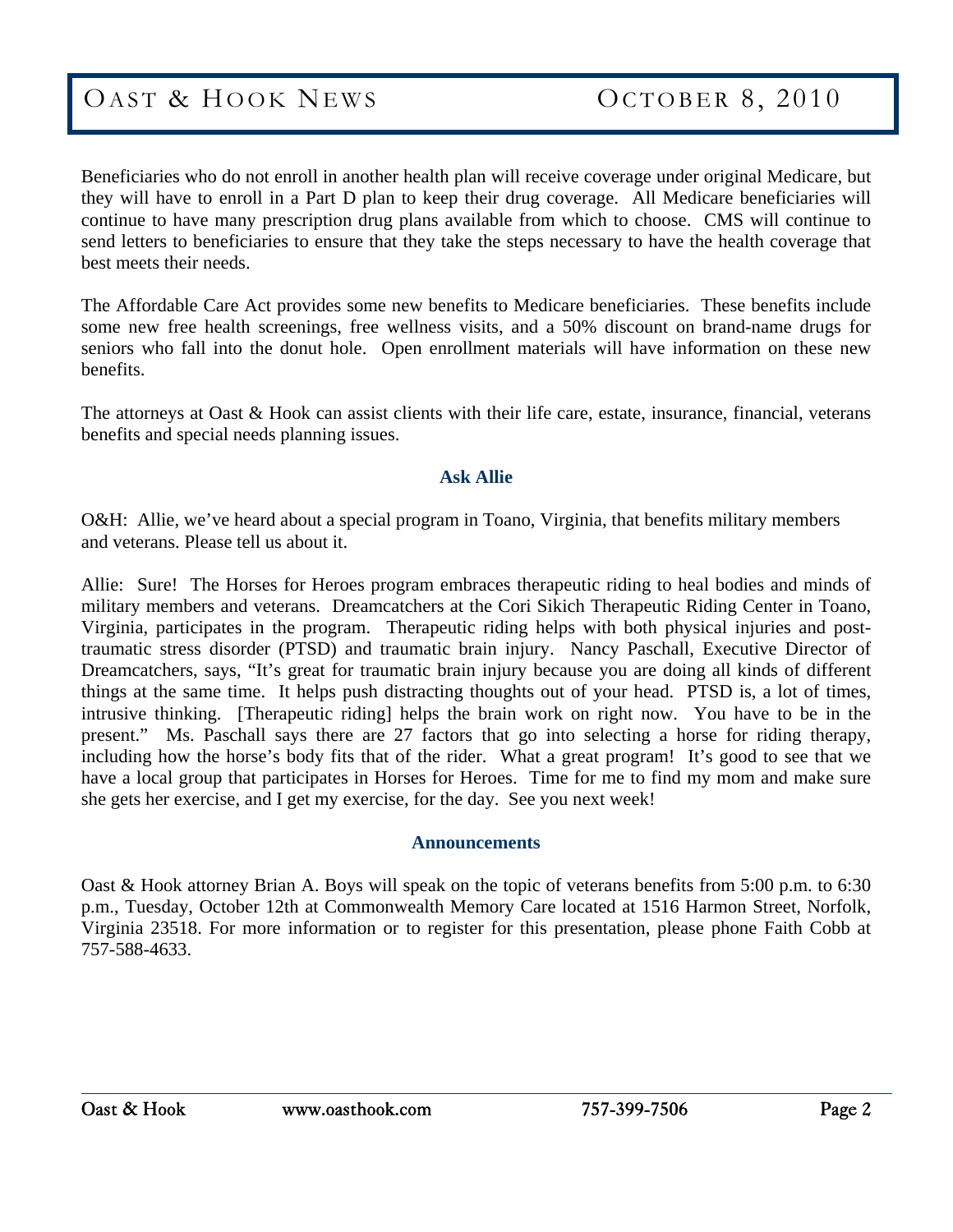Beneficiaries who do not enroll in another health plan will receive coverage under original Medicare, but they will have to enroll in a Part D plan to keep their drug coverage. All Medicare beneficiaries will continue to have many prescription drug plans available from which to choose. CMS will continue to send letters to beneficiaries to ensure that they take the steps necessary to have the health coverage that best meets their needs.

The Affordable Care Act provides some new benefits to Medicare beneficiaries. These benefits include some new free health screenings, free wellness visits, and a 50% discount on brand-name drugs for seniors who fall into the donut hole. Open enrollment materials will have information on these new benefits.

The attorneys at Oast & Hook can assist clients with their life care, estate, insurance, financial, veterans benefits and special needs planning issues.

#### **Ask Allie**

O&H: Allie, we've heard about a special program in Toano, Virginia, that benefits military members and veterans. Please tell us about it.

Allie: Sure! The Horses for Heroes program embraces therapeutic riding to heal bodies and minds of military members and veterans. Dreamcatchers at the Cori Sikich Therapeutic Riding Center in Toano, Virginia, participates in the program. Therapeutic riding helps with both physical injuries and posttraumatic stress disorder (PTSD) and traumatic brain injury. Nancy Paschall, Executive Director of Dreamcatchers, says, "It's great for traumatic brain injury because you are doing all kinds of different things at the same time. It helps push distracting thoughts out of your head. PTSD is, a lot of times, intrusive thinking. [Therapeutic riding] helps the brain work on right now. You have to be in the present." Ms. Paschall says there are 27 factors that go into selecting a horse for riding therapy, including how the horse's body fits that of the rider. What a great program! It's good to see that we have a local group that participates in Horses for Heroes. Time for me to find my mom and make sure she gets her exercise, and I get my exercise, for the day. See you next week!

#### **Announcements**

Oast & Hook attorney Brian A. Boys will speak on the topic of veterans benefits from 5:00 p.m. to 6:30 p.m., Tuesday, October 12th at Commonwealth Memory Care located at 1516 Harmon Street, Norfolk, Virginia 23518. For more information or to register for this presentation, please phone Faith Cobb at 757-588-4633.